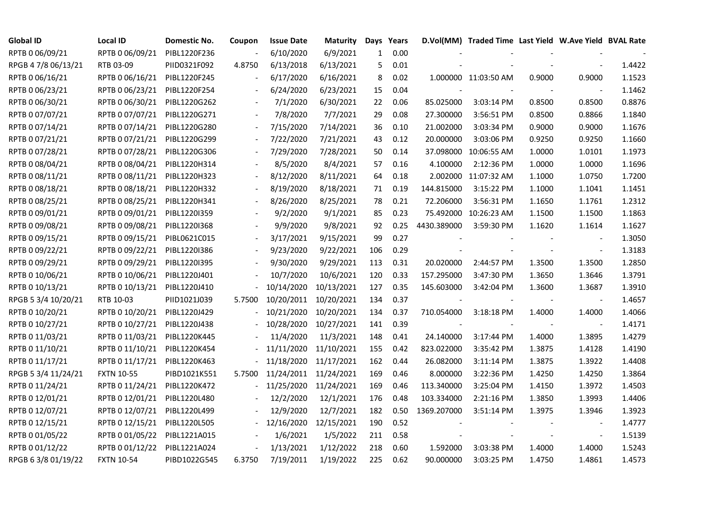| <b>Global ID</b>    | <b>Local ID</b>   | Domestic No. | Coupon                   | <b>Issue Date</b> | Maturity   |              | Days Years |             | D.Vol(MM) Traded Time Last Yield W.Ave Yield BVAL Rate |        |                          |        |
|---------------------|-------------------|--------------|--------------------------|-------------------|------------|--------------|------------|-------------|--------------------------------------------------------|--------|--------------------------|--------|
| RPTB 0 06/09/21     | RPTB 0 06/09/21   | PIBL1220F236 |                          | 6/10/2020         | 6/9/2021   | $\mathbf{1}$ | 0.00       |             |                                                        |        |                          |        |
| RPGB 4 7/8 06/13/21 | RTB 03-09         | PIID0321F092 | 4.8750                   | 6/13/2018         | 6/13/2021  | 5            | 0.01       |             |                                                        |        |                          | 1.4422 |
| RPTB 0 06/16/21     | RPTB 0 06/16/21   | PIBL1220F245 |                          | 6/17/2020         | 6/16/2021  | 8            | 0.02       |             | 1.000000 11:03:50 AM                                   | 0.9000 | 0.9000                   | 1.1523 |
| RPTB 0 06/23/21     | RPTB 0 06/23/21   | PIBL1220F254 |                          | 6/24/2020         | 6/23/2021  | 15           | 0.04       |             |                                                        |        |                          | 1.1462 |
| RPTB 0 06/30/21     | RPTB 0 06/30/21   | PIBL1220G262 | $\blacksquare$           | 7/1/2020          | 6/30/2021  | 22           | 0.06       | 85.025000   | 3:03:14 PM                                             | 0.8500 | 0.8500                   | 0.8876 |
| RPTB 0 07/07/21     | RPTB 0 07/07/21   | PIBL1220G271 |                          | 7/8/2020          | 7/7/2021   | 29           | 0.08       | 27.300000   | 3:56:51 PM                                             | 0.8500 | 0.8866                   | 1.1840 |
| RPTB 0 07/14/21     | RPTB 0 07/14/21   | PIBL1220G280 |                          | 7/15/2020         | 7/14/2021  | 36           | 0.10       | 21.002000   | 3:03:34 PM                                             | 0.9000 | 0.9000                   | 1.1676 |
| RPTB 0 07/21/21     | RPTB 0 07/21/21   | PIBL1220G299 |                          | 7/22/2020         | 7/21/2021  | 43           | 0.12       | 20.000000   | 3:03:06 PM                                             | 0.9250 | 0.9250                   | 1.1660 |
| RPTB 0 07/28/21     | RPTB 0 07/28/21   | PIBL1220G306 |                          | 7/29/2020         | 7/28/2021  | 50           | 0.14       |             | 37.098000 10:06:55 AM                                  | 1.0000 | 1.0101                   | 1.1973 |
| RPTB 0 08/04/21     | RPTB 0 08/04/21   | PIBL1220H314 |                          | 8/5/2020          | 8/4/2021   | 57           | 0.16       | 4.100000    | 2:12:36 PM                                             | 1.0000 | 1.0000                   | 1.1696 |
| RPTB 0 08/11/21     | RPTB 0 08/11/21   | PIBL1220H323 | $\overline{\phantom{a}}$ | 8/12/2020         | 8/11/2021  | 64           | 0.18       |             | 2.002000 11:07:32 AM                                   | 1.1000 | 1.0750                   | 1.7200 |
| RPTB 0 08/18/21     | RPTB 0 08/18/21   | PIBL1220H332 | $\overline{\phantom{a}}$ | 8/19/2020         | 8/18/2021  | 71           | 0.19       | 144.815000  | 3:15:22 PM                                             | 1.1000 | 1.1041                   | 1.1451 |
| RPTB 0 08/25/21     | RPTB 0 08/25/21   | PIBL1220H341 |                          | 8/26/2020         | 8/25/2021  | 78           | 0.21       | 72.206000   | 3:56:31 PM                                             | 1.1650 | 1.1761                   | 1.2312 |
| RPTB 0 09/01/21     | RPTB 0 09/01/21   | PIBL1220I359 |                          | 9/2/2020          | 9/1/2021   | 85           | 0.23       | 75.492000   | 10:26:23 AM                                            | 1.1500 | 1.1500                   | 1.1863 |
| RPTB 0 09/08/21     | RPTB 0 09/08/21   | PIBL1220I368 |                          | 9/9/2020          | 9/8/2021   | 92           | 0.25       | 4430.389000 | 3:59:30 PM                                             | 1.1620 | 1.1614                   | 1.1627 |
| RPTB 0 09/15/21     | RPTB 0 09/15/21   | PIBL0621C015 |                          | 3/17/2021         | 9/15/2021  | 99           | 0.27       |             |                                                        |        |                          | 1.3050 |
| RPTB 0 09/22/21     | RPTB 0 09/22/21   | PIBL1220I386 |                          | 9/23/2020         | 9/22/2021  | 106          | 0.29       |             |                                                        |        | $\overline{\phantom{a}}$ | 1.3183 |
| RPTB 0 09/29/21     | RPTB 0 09/29/21   | PIBL1220I395 | $\overline{\phantom{a}}$ | 9/30/2020         | 9/29/2021  | 113          | 0.31       | 20.020000   | 2:44:57 PM                                             | 1.3500 | 1.3500                   | 1.2850 |
| RPTB 0 10/06/21     | RPTB 0 10/06/21   | PIBL1220J401 |                          | 10/7/2020         | 10/6/2021  | 120          | 0.33       | 157.295000  | 3:47:30 PM                                             | 1.3650 | 1.3646                   | 1.3791 |
| RPTB 0 10/13/21     | RPTB 0 10/13/21   | PIBL1220J410 |                          | 10/14/2020        | 10/13/2021 | 127          | 0.35       | 145.603000  | 3:42:04 PM                                             | 1.3600 | 1.3687                   | 1.3910 |
| RPGB 5 3/4 10/20/21 | RTB 10-03         | PIID1021J039 | 5.7500                   | 10/20/2011        | 10/20/2021 | 134          | 0.37       |             |                                                        |        | $\overline{\phantom{a}}$ | 1.4657 |
| RPTB 0 10/20/21     | RPTB 0 10/20/21   | PIBL1220J429 |                          | 10/21/2020        | 10/20/2021 | 134          | 0.37       | 710.054000  | 3:18:18 PM                                             | 1.4000 | 1.4000                   | 1.4066 |
| RPTB 0 10/27/21     | RPTB 0 10/27/21   | PIBL1220J438 |                          | 10/28/2020        | 10/27/2021 | 141          | 0.39       |             |                                                        |        | $\overline{\phantom{a}}$ | 1.4171 |
| RPTB 0 11/03/21     | RPTB 0 11/03/21   | PIBL1220K445 |                          | 11/4/2020         | 11/3/2021  | 148          | 0.41       | 24.140000   | 3:17:44 PM                                             | 1.4000 | 1.3895                   | 1.4279 |
| RPTB 0 11/10/21     | RPTB 0 11/10/21   | PIBL1220K454 |                          | 11/11/2020        | 11/10/2021 | 155          | 0.42       | 823.022000  | 3:35:42 PM                                             | 1.3875 | 1.4128                   | 1.4190 |
| RPTB 0 11/17/21     | RPTB 0 11/17/21   | PIBL1220K463 |                          | 11/18/2020        | 11/17/2021 | 162          | 0.44       | 26.082000   | 3:11:14 PM                                             | 1.3875 | 1.3922                   | 1.4408 |
| RPGB 5 3/4 11/24/21 | <b>FXTN 10-55</b> | PIBD1021K551 | 5.7500                   | 11/24/2011        | 11/24/2021 | 169          | 0.46       | 8.000000    | 3:22:36 PM                                             | 1.4250 | 1.4250                   | 1.3864 |
| RPTB 0 11/24/21     | RPTB 0 11/24/21   | PIBL1220K472 |                          | 11/25/2020        | 11/24/2021 | 169          | 0.46       | 113.340000  | 3:25:04 PM                                             | 1.4150 | 1.3972                   | 1.4503 |
| RPTB 0 12/01/21     | RPTB 0 12/01/21   | PIBL1220L480 |                          | 12/2/2020         | 12/1/2021  | 176          | 0.48       | 103.334000  | 2:21:16 PM                                             | 1.3850 | 1.3993                   | 1.4406 |
| RPTB 0 12/07/21     | RPTB 0 12/07/21   | PIBL1220L499 |                          | 12/9/2020         | 12/7/2021  | 182          | 0.50       | 1369.207000 | 3:51:14 PM                                             | 1.3975 | 1.3946                   | 1.3923 |
| RPTB 0 12/15/21     | RPTB 0 12/15/21   | PIBL1220L505 |                          | 12/16/2020        | 12/15/2021 | 190          | 0.52       |             |                                                        |        |                          | 1.4777 |
| RPTB 0 01/05/22     | RPTB 0 01/05/22   | PIBL1221A015 |                          | 1/6/2021          | 1/5/2022   | 211          | 0.58       |             |                                                        |        | $\overline{\phantom{a}}$ | 1.5139 |
| RPTB 0 01/12/22     | RPTB 0 01/12/22   | PIBL1221A024 | $\Box$                   | 1/13/2021         | 1/12/2022  | 218          | 0.60       | 1.592000    | 3:03:38 PM                                             | 1.4000 | 1.4000                   | 1.5243 |
| RPGB 63/8 01/19/22  | <b>FXTN 10-54</b> | PIBD1022G545 | 6.3750                   | 7/19/2011         | 1/19/2022  | 225          | 0.62       | 90.000000   | 3:03:25 PM                                             | 1.4750 | 1.4861                   | 1.4573 |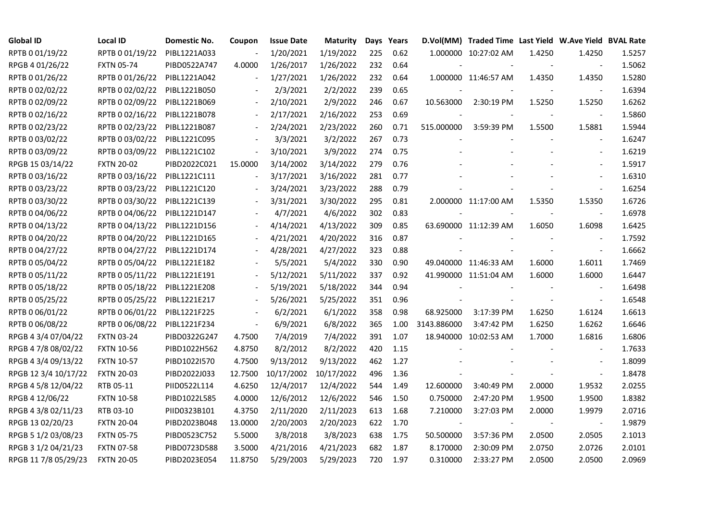| <b>Global ID</b>     | <b>Local ID</b>   | Domestic No. | Coupon                   | <b>Issue Date</b> | Maturity   |     | Days Years |             | D.Vol(MM) Traded Time Last Yield W.Ave Yield BVAL Rate |        |                          |        |
|----------------------|-------------------|--------------|--------------------------|-------------------|------------|-----|------------|-------------|--------------------------------------------------------|--------|--------------------------|--------|
| RPTB 0 01/19/22      | RPTB 0 01/19/22   | PIBL1221A033 | $\overline{\phantom{a}}$ | 1/20/2021         | 1/19/2022  | 225 | 0.62       |             | 1.000000 10:27:02 AM                                   | 1.4250 | 1.4250                   | 1.5257 |
| RPGB 4 01/26/22      | <b>FXTN 05-74</b> | PIBD0522A747 | 4.0000                   | 1/26/2017         | 1/26/2022  | 232 | 0.64       |             |                                                        |        |                          | 1.5062 |
| RPTB 0 01/26/22      | RPTB 0 01/26/22   | PIBL1221A042 | $\overline{\phantom{a}}$ | 1/27/2021         | 1/26/2022  | 232 | 0.64       |             | 1.000000 11:46:57 AM                                   | 1.4350 | 1.4350                   | 1.5280 |
| RPTB 0 02/02/22      | RPTB 0 02/02/22   | PIBL1221B050 | $\overline{\phantom{a}}$ | 2/3/2021          | 2/2/2022   | 239 | 0.65       |             |                                                        |        |                          | 1.6394 |
| RPTB 0 02/09/22      | RPTB 0 02/09/22   | PIBL1221B069 |                          | 2/10/2021         | 2/9/2022   | 246 | 0.67       | 10.563000   | 2:30:19 PM                                             | 1.5250 | 1.5250                   | 1.6262 |
| RPTB 0 02/16/22      | RPTB 0 02/16/22   | PIBL1221B078 | $\blacksquare$           | 2/17/2021         | 2/16/2022  | 253 | 0.69       |             |                                                        |        |                          | 1.5860 |
| RPTB 0 02/23/22      | RPTB 0 02/23/22   | PIBL1221B087 | $\blacksquare$           | 2/24/2021         | 2/23/2022  | 260 | 0.71       | 515.000000  | 3:59:39 PM                                             | 1.5500 | 1.5881                   | 1.5944 |
| RPTB 0 03/02/22      | RPTB 0 03/02/22   | PIBL1221C095 |                          | 3/3/2021          | 3/2/2022   | 267 | 0.73       |             |                                                        |        | $\overline{\phantom{a}}$ | 1.6247 |
| RPTB 0 03/09/22      | RPTB 0 03/09/22   | PIBL1221C102 | $\overline{\phantom{a}}$ | 3/10/2021         | 3/9/2022   | 274 | 0.75       |             |                                                        |        |                          | 1.6219 |
| RPGB 15 03/14/22     | <b>FXTN 20-02</b> | PIBD2022C021 | 15.0000                  | 3/14/2002         | 3/14/2022  | 279 | 0.76       |             |                                                        |        | $\overline{\phantom{a}}$ | 1.5917 |
| RPTB 0 03/16/22      | RPTB 0 03/16/22   | PIBL1221C111 | $\blacksquare$           | 3/17/2021         | 3/16/2022  | 281 | 0.77       |             |                                                        |        | $\overline{\phantom{a}}$ | 1.6310 |
| RPTB 0 03/23/22      | RPTB 0 03/23/22   | PIBL1221C120 | $\overline{\phantom{a}}$ | 3/24/2021         | 3/23/2022  | 288 | 0.79       |             |                                                        |        | $\blacksquare$           | 1.6254 |
| RPTB 0 03/30/22      | RPTB 0 03/30/22   | PIBL1221C139 |                          | 3/31/2021         | 3/30/2022  | 295 | 0.81       |             | 2.000000 11:17:00 AM                                   | 1.5350 | 1.5350                   | 1.6726 |
| RPTB 0 04/06/22      | RPTB 0 04/06/22   | PIBL1221D147 |                          | 4/7/2021          | 4/6/2022   | 302 | 0.83       |             |                                                        |        | $\blacksquare$           | 1.6978 |
| RPTB 0 04/13/22      | RPTB 0 04/13/22   | PIBL1221D156 |                          | 4/14/2021         | 4/13/2022  | 309 | 0.85       |             | 63.690000 11:12:39 AM                                  | 1.6050 | 1.6098                   | 1.6425 |
| RPTB 0 04/20/22      | RPTB 0 04/20/22   | PIBL1221D165 |                          | 4/21/2021         | 4/20/2022  | 316 | 0.87       |             |                                                        |        |                          | 1.7592 |
| RPTB 0 04/27/22      | RPTB 0 04/27/22   | PIBL1221D174 |                          | 4/28/2021         | 4/27/2022  | 323 | 0.88       |             |                                                        |        | $\overline{\phantom{a}}$ | 1.6662 |
| RPTB 0 05/04/22      | RPTB 0 05/04/22   | PIBL1221E182 |                          | 5/5/2021          | 5/4/2022   | 330 | 0.90       |             | 49.040000 11:46:33 AM                                  | 1.6000 | 1.6011                   | 1.7469 |
| RPTB 0 05/11/22      | RPTB 0 05/11/22   | PIBL1221E191 |                          | 5/12/2021         | 5/11/2022  | 337 | 0.92       |             | 41.990000 11:51:04 AM                                  | 1.6000 | 1.6000                   | 1.6447 |
| RPTB 0 05/18/22      | RPTB 0 05/18/22   | PIBL1221E208 |                          | 5/19/2021         | 5/18/2022  | 344 | 0.94       |             |                                                        |        | $\sim$                   | 1.6498 |
| RPTB 0 05/25/22      | RPTB 0 05/25/22   | PIBL1221E217 | $\blacksquare$           | 5/26/2021         | 5/25/2022  | 351 | 0.96       |             |                                                        |        | $\blacksquare$           | 1.6548 |
| RPTB 0 06/01/22      | RPTB 0 06/01/22   | PIBL1221F225 | $\overline{\phantom{a}}$ | 6/2/2021          | 6/1/2022   | 358 | 0.98       | 68.925000   | 3:17:39 PM                                             | 1.6250 | 1.6124                   | 1.6613 |
| RPTB 0 06/08/22      | RPTB 0 06/08/22   | PIBL1221F234 | $\frac{1}{2}$            | 6/9/2021          | 6/8/2022   | 365 | 1.00       | 3143.886000 | 3:47:42 PM                                             | 1.6250 | 1.6262                   | 1.6646 |
| RPGB 4 3/4 07/04/22  | <b>FXTN 03-24</b> | PIBD0322G247 | 4.7500                   | 7/4/2019          | 7/4/2022   | 391 | 1.07       |             | 18.940000 10:02:53 AM                                  | 1.7000 | 1.6816                   | 1.6806 |
| RPGB 4 7/8 08/02/22  | <b>FXTN 10-56</b> | PIBD1022H562 | 4.8750                   | 8/2/2012          | 8/2/2022   | 420 | 1.15       |             |                                                        |        | $\overline{\phantom{a}}$ | 1.7633 |
| RPGB 4 3/4 09/13/22  | <b>FXTN 10-57</b> | PIBD1022I570 | 4.7500                   | 9/13/2012         | 9/13/2022  | 462 | 1.27       |             |                                                        |        |                          | 1.8099 |
| RPGB 12 3/4 10/17/22 | <b>FXTN 20-03</b> | PIBD2022J033 | 12.7500                  | 10/17/2002        | 10/17/2022 | 496 | 1.36       |             |                                                        |        | $\blacksquare$           | 1.8478 |
| RPGB 4 5/8 12/04/22  | RTB 05-11         | PIID0522L114 | 4.6250                   | 12/4/2017         | 12/4/2022  | 544 | 1.49       | 12.600000   | 3:40:49 PM                                             | 2.0000 | 1.9532                   | 2.0255 |
| RPGB 4 12/06/22      | <b>FXTN 10-58</b> | PIBD1022L585 | 4.0000                   | 12/6/2012         | 12/6/2022  | 546 | 1.50       | 0.750000    | 2:47:20 PM                                             | 1.9500 | 1.9500                   | 1.8382 |
| RPGB 4 3/8 02/11/23  | RTB 03-10         | PIID0323B101 | 4.3750                   | 2/11/2020         | 2/11/2023  | 613 | 1.68       | 7.210000    | 3:27:03 PM                                             | 2.0000 | 1.9979                   | 2.0716 |
| RPGB 13 02/20/23     | <b>FXTN 20-04</b> | PIBD2023B048 | 13.0000                  | 2/20/2003         | 2/20/2023  | 622 | 1.70       |             |                                                        |        |                          | 1.9879 |
| RPGB 5 1/2 03/08/23  | <b>FXTN 05-75</b> | PIBD0523C752 | 5.5000                   | 3/8/2018          | 3/8/2023   | 638 | 1.75       | 50.500000   | 3:57:36 PM                                             | 2.0500 | 2.0505                   | 2.1013 |
| RPGB 3 1/2 04/21/23  | <b>FXTN 07-58</b> | PIBD0723D588 | 3.5000                   | 4/21/2016         | 4/21/2023  | 682 | 1.87       | 8.170000    | 2:30:09 PM                                             | 2.0750 | 2.0726                   | 2.0101 |
| RPGB 11 7/8 05/29/23 | <b>FXTN 20-05</b> | PIBD2023E054 | 11.8750                  | 5/29/2003         | 5/29/2023  | 720 | 1.97       | 0.310000    | 2:33:27 PM                                             | 2.0500 | 2.0500                   | 2.0969 |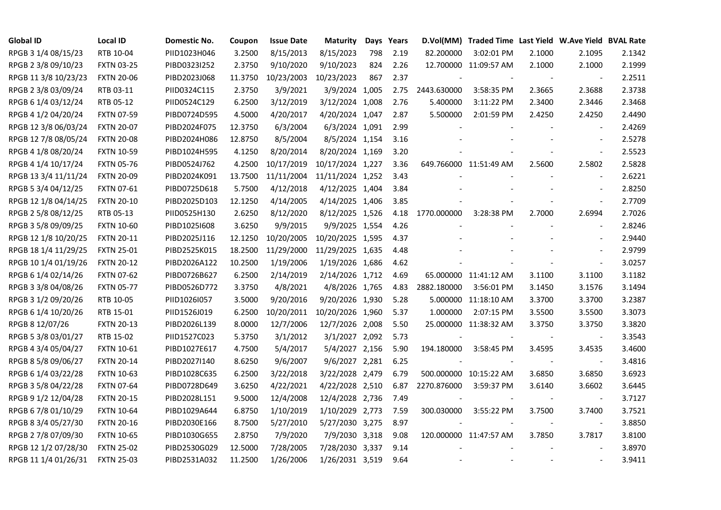| <b>Global ID</b>     | <b>Local ID</b>   | Domestic No. | Coupon  | <b>Issue Date</b> | <b>Maturity</b>  |     | Days Years |             | D.Vol(MM) Traded Time Last Yield W.Ave Yield BVAL Rate |                |                          |        |
|----------------------|-------------------|--------------|---------|-------------------|------------------|-----|------------|-------------|--------------------------------------------------------|----------------|--------------------------|--------|
| RPGB 3 1/4 08/15/23  | RTB 10-04         | PIID1023H046 | 3.2500  | 8/15/2013         | 8/15/2023        | 798 | 2.19       | 82.200000   | 3:02:01 PM                                             | 2.1000         | 2.1095                   | 2.1342 |
| RPGB 2 3/8 09/10/23  | <b>FXTN 03-25</b> | PIBD0323I252 | 2.3750  | 9/10/2020         | 9/10/2023        | 824 | 2.26       |             | 12.700000 11:09:57 AM                                  | 2.1000         | 2.1000                   | 2.1999 |
| RPGB 11 3/8 10/23/23 | <b>FXTN 20-06</b> | PIBD2023J068 | 11.3750 | 10/23/2003        | 10/23/2023       | 867 | 2.37       |             |                                                        |                | $\overline{\phantom{a}}$ | 2.2511 |
| RPGB 2 3/8 03/09/24  | RTB 03-11         | PIID0324C115 | 2.3750  | 3/9/2021          | 3/9/2024 1,005   |     | 2.75       | 2443.630000 | 3:58:35 PM                                             | 2.3665         | 2.3688                   | 2.3738 |
| RPGB 6 1/4 03/12/24  | RTB 05-12         | PIID0524C129 | 6.2500  | 3/12/2019         | 3/12/2024 1,008  |     | 2.76       | 5.400000    | 3:11:22 PM                                             | 2.3400         | 2.3446                   | 2.3468 |
| RPGB 4 1/2 04/20/24  | <b>FXTN 07-59</b> | PIBD0724D595 | 4.5000  | 4/20/2017         | 4/20/2024 1,047  |     | 2.87       | 5.500000    | 2:01:59 PM                                             | 2.4250         | 2.4250                   | 2.4490 |
| RPGB 12 3/8 06/03/24 | <b>FXTN 20-07</b> | PIBD2024F075 | 12.3750 | 6/3/2004          | 6/3/2024 1,091   |     | 2.99       |             |                                                        |                | $\blacksquare$           | 2.4269 |
| RPGB 12 7/8 08/05/24 | <b>FXTN 20-08</b> | PIBD2024H086 | 12.8750 | 8/5/2004          | 8/5/2024 1,154   |     | 3.16       |             |                                                        |                | $\overline{\phantom{a}}$ | 2.5278 |
| RPGB 4 1/8 08/20/24  | <b>FXTN 10-59</b> | PIBD1024H595 | 4.1250  | 8/20/2014         | 8/20/2024 1,169  |     | 3.20       |             |                                                        |                | $\overline{\phantom{a}}$ | 2.5523 |
| RPGB 4 1/4 10/17/24  | <b>FXTN 05-76</b> | PIBD0524J762 | 4.2500  | 10/17/2019        | 10/17/2024 1,227 |     | 3.36       |             | 649.766000 11:51:49 AM                                 | 2.5600         | 2.5802                   | 2.5828 |
| RPGB 13 3/4 11/11/24 | <b>FXTN 20-09</b> | PIBD2024K091 | 13.7500 | 11/11/2004        | 11/11/2024 1,252 |     | 3.43       |             |                                                        |                | $\sim$                   | 2.6221 |
| RPGB 5 3/4 04/12/25  | FXTN 07-61        | PIBD0725D618 | 5.7500  | 4/12/2018         | 4/12/2025 1,404  |     | 3.84       |             |                                                        |                | $\sim$                   | 2.8250 |
| RPGB 12 1/8 04/14/25 | <b>FXTN 20-10</b> | PIBD2025D103 | 12.1250 | 4/14/2005         | 4/14/2025 1,406  |     | 3.85       |             |                                                        |                | $\sim$                   | 2.7709 |
| RPGB 2 5/8 08/12/25  | RTB 05-13         | PIID0525H130 | 2.6250  | 8/12/2020         | 8/12/2025 1,526  |     | 4.18       | 1770.000000 | 3:28:38 PM                                             | 2.7000         | 2.6994                   | 2.7026 |
| RPGB 3 5/8 09/09/25  | <b>FXTN 10-60</b> | PIBD10251608 | 3.6250  | 9/9/2015          | 9/9/2025 1,554   |     | 4.26       |             |                                                        |                | $\blacksquare$           | 2.8246 |
| RPGB 12 1/8 10/20/25 | <b>FXTN 20-11</b> | PIBD2025J116 | 12.1250 | 10/20/2005        | 10/20/2025 1,595 |     | 4.37       |             |                                                        |                |                          | 2.9440 |
| RPGB 18 1/4 11/29/25 | <b>FXTN 25-01</b> | PIBD2525K015 | 18.2500 | 11/29/2000        | 11/29/2025 1,635 |     | 4.48       |             |                                                        |                | $\overline{a}$           | 2.9799 |
| RPGB 10 1/4 01/19/26 | <b>FXTN 20-12</b> | PIBD2026A122 | 10.2500 | 1/19/2006         | 1/19/2026 1,686  |     | 4.62       |             |                                                        |                | $\overline{\phantom{a}}$ | 3.0257 |
| RPGB 6 1/4 02/14/26  | <b>FXTN 07-62</b> | PIBD0726B627 | 6.2500  | 2/14/2019         | 2/14/2026 1,712  |     | 4.69       |             | 65.000000 11:41:12 AM                                  | 3.1100         | 3.1100                   | 3.1182 |
| RPGB 3 3/8 04/08/26  | <b>FXTN 05-77</b> | PIBD0526D772 | 3.3750  | 4/8/2021          | 4/8/2026 1,765   |     | 4.83       | 2882.180000 | 3:56:01 PM                                             | 3.1450         | 3.1576                   | 3.1494 |
| RPGB 3 1/2 09/20/26  | RTB 10-05         | PIID1026I057 | 3.5000  | 9/20/2016         | 9/20/2026 1,930  |     | 5.28       |             | 5.000000 11:18:10 AM                                   | 3.3700         | 3.3700                   | 3.2387 |
| RPGB 6 1/4 10/20/26  | RTB 15-01         | PIID1526J019 | 6.2500  | 10/20/2011        | 10/20/2026 1,960 |     | 5.37       | 1.000000    | 2:07:15 PM                                             | 3.5500         | 3.5500                   | 3.3073 |
| RPGB 8 12/07/26      | <b>FXTN 20-13</b> | PIBD2026L139 | 8.0000  | 12/7/2006         | 12/7/2026 2,008  |     | 5.50       |             | 25.000000 11:38:32 AM                                  | 3.3750         | 3.3750                   | 3.3820 |
| RPGB 5 3/8 03/01/27  | RTB 15-02         | PIID1527C023 | 5.3750  | 3/1/2012          | 3/1/2027 2,092   |     | 5.73       |             |                                                        |                |                          | 3.3543 |
| RPGB 4 3/4 05/04/27  | <b>FXTN 10-61</b> | PIBD1027E617 | 4.7500  | 5/4/2017          | 5/4/2027 2,156   |     | 5.90       | 194.180000  | 3:58:45 PM                                             | 3.4595         | 3.4535                   | 3.4600 |
| RPGB 8 5/8 09/06/27  | <b>FXTN 20-14</b> | PIBD2027I140 | 8.6250  | 9/6/2007          | 9/6/2027 2,281   |     | 6.25       |             |                                                        |                | $\blacksquare$           | 3.4816 |
| RPGB 6 1/4 03/22/28  | <b>FXTN 10-63</b> | PIBD1028C635 | 6.2500  | 3/22/2018         | 3/22/2028 2,479  |     | 6.79       |             | 500.000000 10:15:22 AM                                 | 3.6850         | 3.6850                   | 3.6923 |
| RPGB 3 5/8 04/22/28  | <b>FXTN 07-64</b> | PIBD0728D649 | 3.6250  | 4/22/2021         | 4/22/2028 2,510  |     | 6.87       | 2270.876000 | 3:59:37 PM                                             | 3.6140         | 3.6602                   | 3.6445 |
| RPGB 9 1/2 12/04/28  | <b>FXTN 20-15</b> | PIBD2028L151 | 9.5000  | 12/4/2008         | 12/4/2028 2,736  |     | 7.49       |             |                                                        |                | $\overline{\phantom{a}}$ | 3.7127 |
| RPGB 67/8 01/10/29   | <b>FXTN 10-64</b> | PIBD1029A644 | 6.8750  | 1/10/2019         | 1/10/2029 2,773  |     | 7.59       | 300.030000  | 3:55:22 PM                                             | 3.7500         | 3.7400                   | 3.7521 |
| RPGB 8 3/4 05/27/30  | <b>FXTN 20-16</b> | PIBD2030E166 | 8.7500  | 5/27/2010         | 5/27/2030 3,275  |     | 8.97       |             |                                                        |                | $\blacksquare$           | 3.8850 |
| RPGB 2 7/8 07/09/30  | <b>FXTN 10-65</b> | PIBD1030G655 | 2.8750  | 7/9/2020          | 7/9/2030 3,318   |     | 9.08       |             | 120.000000 11:47:57 AM                                 | 3.7850         | 3.7817                   | 3.8100 |
| RPGB 12 1/2 07/28/30 | <b>FXTN 25-02</b> | PIBD2530G029 | 12.5000 | 7/28/2005         | 7/28/2030 3,337  |     | 9.14       |             |                                                        |                |                          | 3.8970 |
| RPGB 11 1/4 01/26/31 | <b>FXTN 25-03</b> | PIBD2531A032 | 11.2500 | 1/26/2006         | 1/26/2031 3,519  |     | 9.64       |             |                                                        | $\blacksquare$ | $\frac{1}{2}$            | 3.9411 |